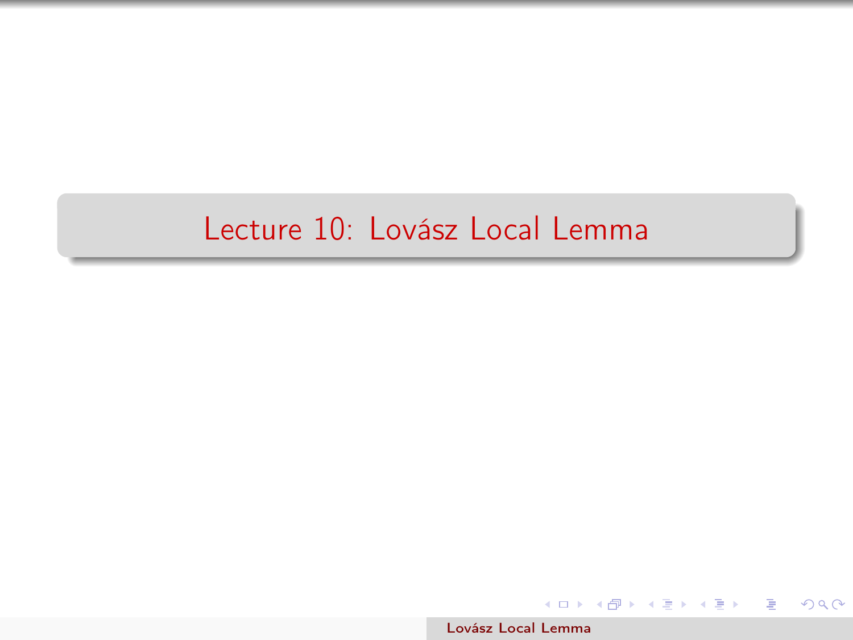### <span id="page-0-0"></span>Lecture 10: Lovász Local Lemma

[Lovász Local Lemma](#page-12-0)

メロト メ団 トメ 差 トメ 差 トー

 $\equiv$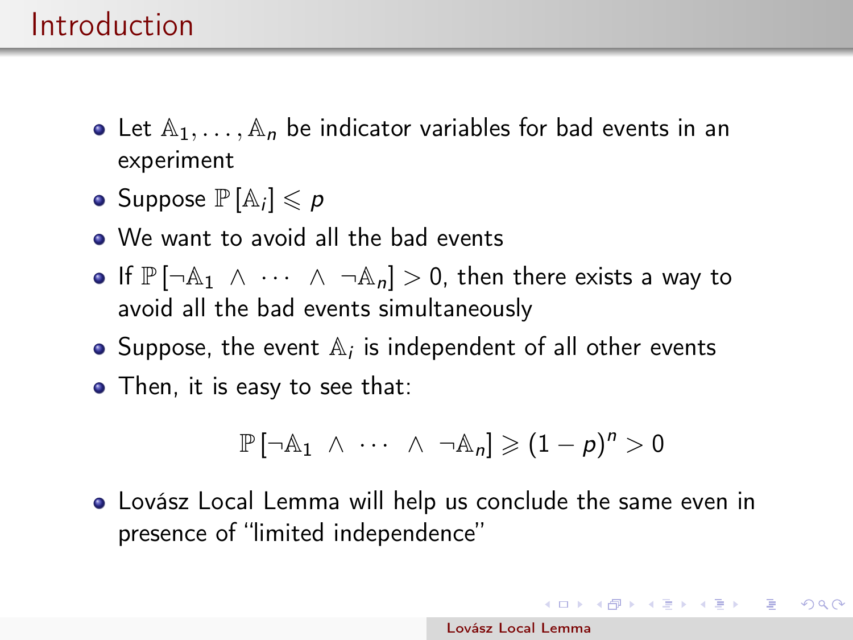## Introduction

- Let  $A_1, \ldots, A_n$  be indicator variables for bad events in an experiment
- Suppose  $\mathbb{P}[\mathbb{A}_i] \leqslant p$
- We want to avoid all the bad events
- If  $\mathbb{P} \left[ \neg \mathbb{A}_1 \land \cdots \land \neg \mathbb{A}_n \right] > 0$ , then there exists a way to avoid all the bad events simultaneously
- Suppose, the event  $\mathbb{A}_i$  is independent of all other events
- Then, it is easy to see that:

$$
\mathbb{P}[\neg \mathbb{A}_1 \ \wedge \ \cdots \ \wedge \ \neg \mathbb{A}_n] \geqslant (1-p)^n > 0
$$

Lovász Local Lemma will help us conclude the same even in presence of "limited independence"

イロト イ団 トイ 老 トイ 差 トー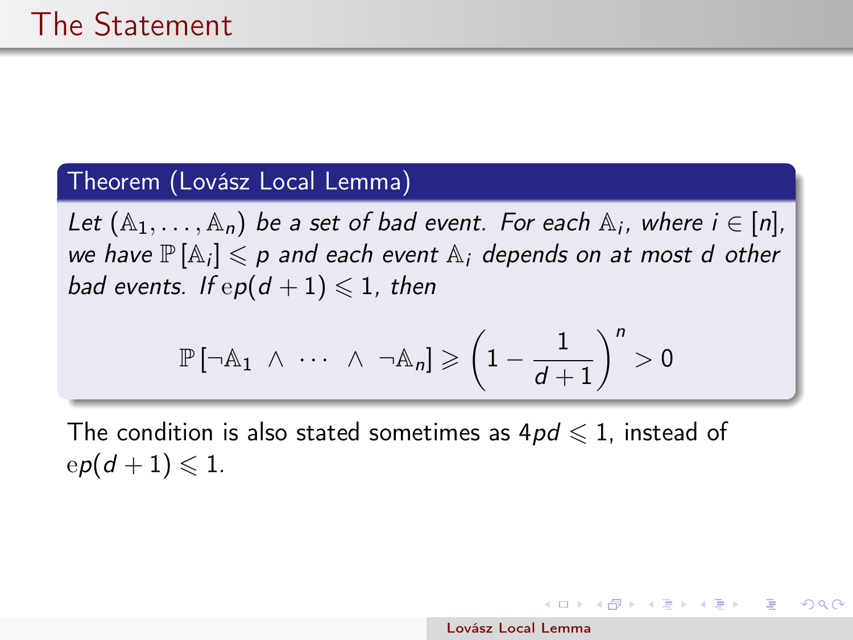#### Theorem (Lovász Local Lemma)

Let  $(A_1, \ldots, A_n)$  be a set of bad event. For each  $A_i$ , where  $i \in [n]$ , we have  $\mathbb{P}[\mathbb{A}_i] \leqslant p$  and each event  $\mathbb{A}_i$  depends on at most d other bad events. If  $ep(d + 1) \leq 1$ , then

$$
\mathbb{P}\left[\neg \mathbb{A}_{1} \;\wedge\; \cdots \;\wedge\; \neg \mathbb{A}_{n}\right] \geqslant \left(1-\frac{1}{d+1}\right)^{n} > 0
$$

The condition is also stated sometimes as  $4pd \leq 1$ , instead of  $ep(d+1) \leqslant 1$ .

 $A(\overline{B}) \rightarrow A(\overline{B}) \rightarrow A(\overline{B}) \rightarrow$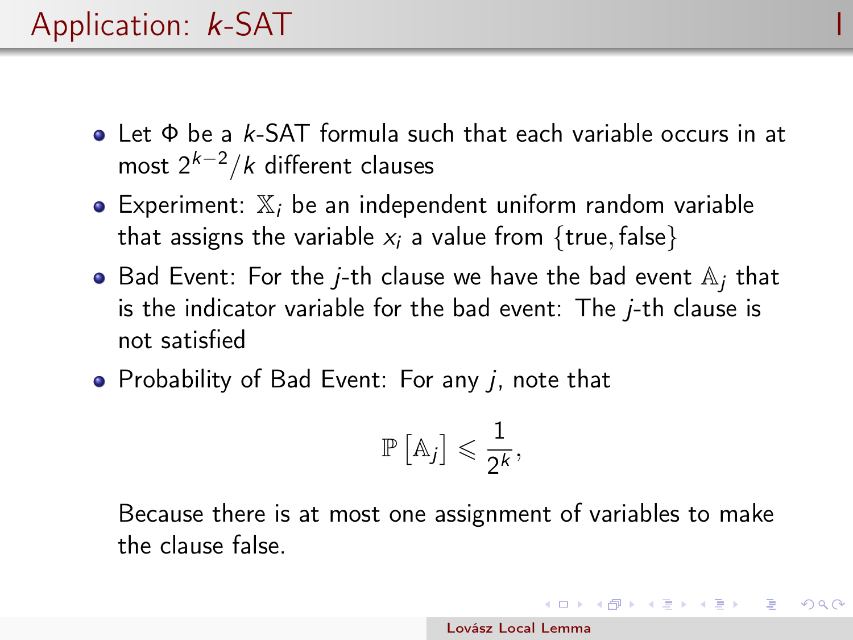# Application: *k*-SAT

- Let Φ be a k-SAT formula such that each variable occurs in at most  $2^{k-2}/k$  different clauses
- Experiment:  $X_i$  be an independent uniform random variable that assigns the variable  $x_i$  a value from {true, false}
- $\bullet$  Bad Event: For the *j*-th clause we have the bad event  $\mathbb{A}_i$  that is the indicator variable for the bad event: The  $i$ -th clause is not satisfied
- Probability of Bad Event: For any  $j$ , note that

$$
\mathbb{P}\left[\mathbb{A}_j\right] \leqslant \frac{1}{2^k},
$$

Because there is at most one assignment of variables to make the clause false.

 $\left\{ \begin{array}{ccc} \square & \times & \overline{c} & \overline{c} & \times \end{array} \right.$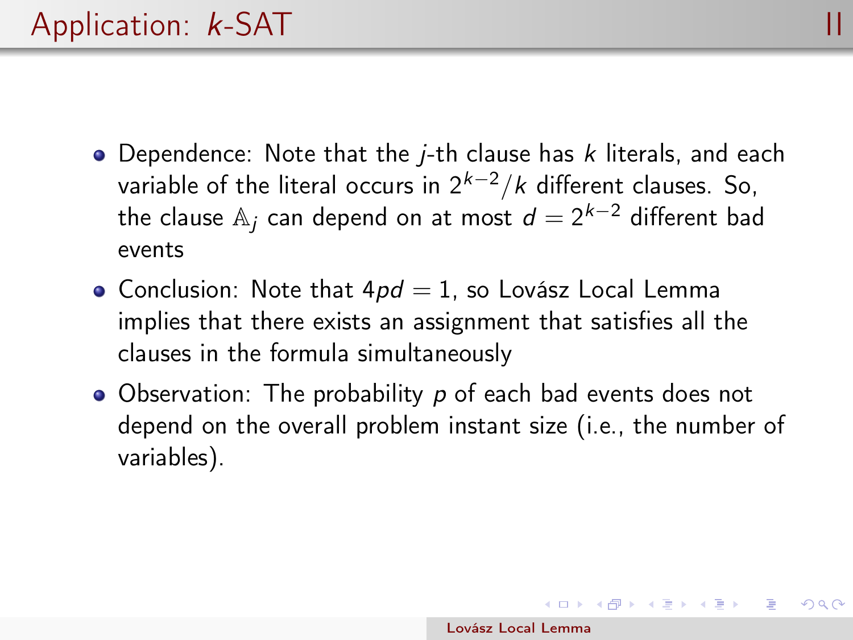- $\bullet$  Dependence: Note that the *j*-th clause has *k* literals, and each variable of the literal occurs in  $2^{k-2}/k$  different clauses. So, the clause  $\mathbb{A}_j$  can depend on at most  $d=2^{k-2}$  different bad events
- Conclusion: Note that  $4pd = 1$ , so Lovász Local Lemma implies that there exists an assignment that satisfies all the clauses in the formula simultaneously
- Observation: The probability p of each bad events does not depend on the overall problem instant size (i.e., the number of variables).

 $\left\{ \begin{array}{ccc} \square & \times & \overline{c} & \overline{c} & \times \end{array} \right.$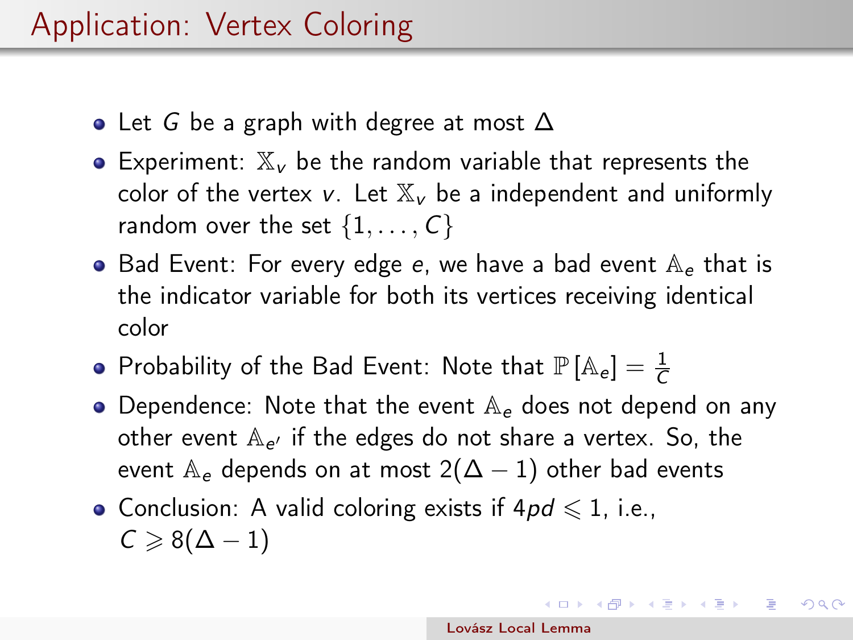- Let G be a graph with degree at most  $\Delta$
- Experiment:  $\mathbb{X}_{\nu}$  be the random variable that represents the color of the vertex v. Let  $\mathbb{X}_{\nu}$  be a independent and uniformly random over the set  $\{1, \ldots, C\}$
- $\bullet$  Bad Event: For every edge e, we have a bad event  $\mathbb{A}_{\epsilon}$  that is the indicator variable for both its vertices receiving identical color
- Probability of the Bad Event: Note that  $\mathbb{P}\left[\mathbb{A}_e\right]=\frac{1}{C}$
- Dependence: Note that the event  $A_{\epsilon}$  does not depend on any other event  $\mathbb{A}_{e'}$  if the edges do not share a vertex. So, the event  $A_e$  depends on at most 2( $\Delta - 1$ ) other bad events
- Conclusion: A valid coloring exists if  $4pd \leq 1$ , i.e.,  $C \geqslant 8(\Delta - 1)$

イロト イ団 ト イ毛 ト イ毛 トー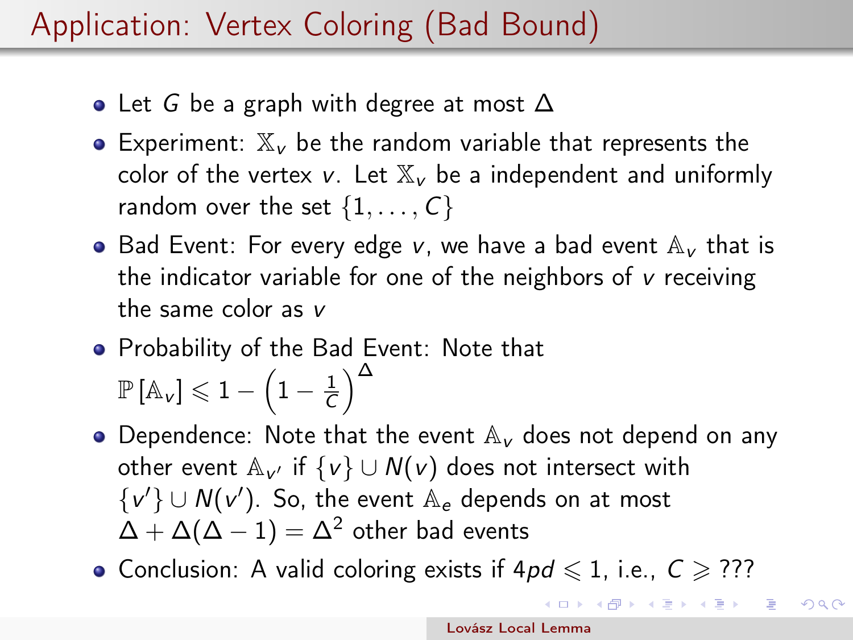# Application: Vertex Coloring (Bad Bound)

- Let G be a graph with degree at most  $\Delta$
- Experiment:  $\mathbb{X}_{\nu}$  be the random variable that represents the color of the vertex v. Let  $\mathbb{X}_{\nu}$  be a independent and uniformly random over the set  $\{1, \ldots, C\}$
- Bad Event: For every edge v, we have a bad event  $\mathbb{A}_{\mathsf{V}}$  that is the indicator variable for one of the neighbors of v receiving the same color as v
- **•** Probability of the Bad Event: Note that  $\mathbb{P}\left[\mathbb{A}_{\mathsf{v}}\right] \leqslant 1 - \left(1 - \frac{1}{C}\right)$  $\frac{1}{\overline{C}}\Big)^{\Delta}$
- Dependence: Note that the event  $A_V$  does not depend on any other event  $\mathbb{A}_{\nu'}$  if  $\{\nu\}\cup \mathcal{N}(\nu)$  does not intersect with  $\{v'\} \cup N(v')$ . So, the event  $\mathbb{A}_{e}$  depends on at most  $\Delta + \Delta(\Delta - 1) = \Delta^2$  other bad events
- Conclusion: A valid coloring exists if  $4pd \leq 1$ , i.e.,  $C \geq ??$ ?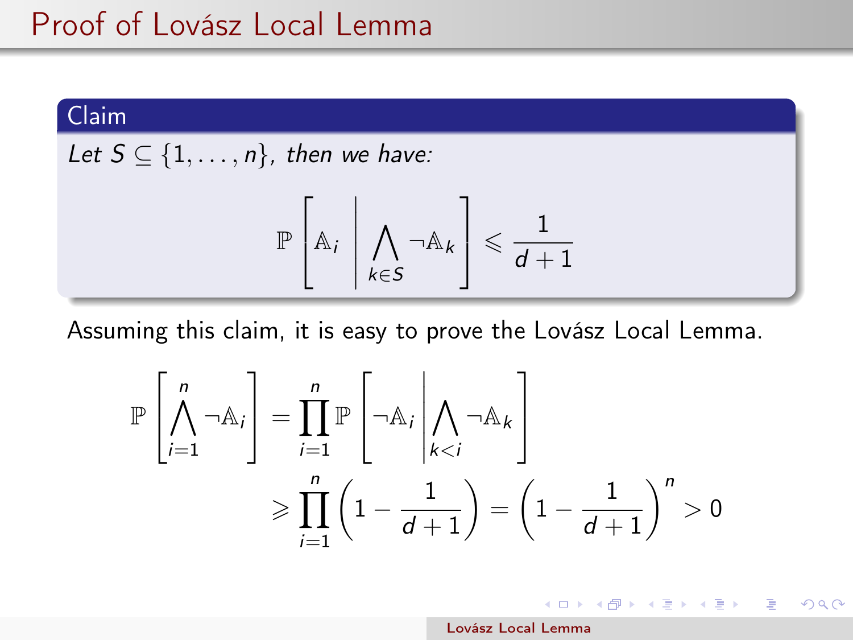### Claim

Let 
$$
S \subseteq \{1, \ldots, n\}
$$
, then we have:

$$
\mathbb{P}\left[\mathbb{A}_i \middle| \bigwedge_{k \in S} \neg \mathbb{A}_k\right] \leqslant \frac{1}{d+1}
$$

Assuming this claim, it is easy to prove the Lovász Local Lemma.

$$
\mathbb{P}\left[\bigwedge_{i=1}^{n} \neg \mathbb{A}_{i}\right] = \prod_{i=1}^{n} \mathbb{P}\left[\neg \mathbb{A}_{i} \middle| \bigwedge_{k < i} \neg \mathbb{A}_{k}\right]
$$
\n
$$
\geq \prod_{i=1}^{n} \left(1 - \frac{1}{d+1}\right) = \left(1 - \frac{1}{d+1}\right)^{n} > 0
$$

イロメ イ団メ イヨメ イヨメー

 $QQ$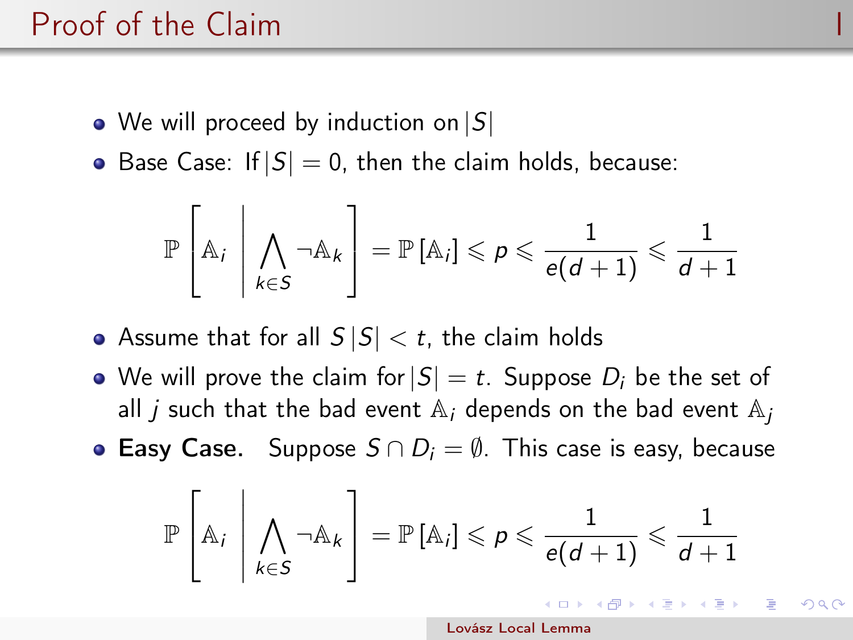## Proof of the Claim

- We will proceed by induction on  $|S|$
- Base Case: If  $|S| = 0$ , then the claim holds, because:

$$
\mathbb{P}\left[\mathbb{A}_i \,\middle\vert \, \bigwedge_{k \in S} \neg \mathbb{A}_k\right] = \mathbb{P}\left[\mathbb{A}_i\right] \leqslant p \leqslant \frac{1}{e(d+1)} \leqslant \frac{1}{d+1}
$$

• Assume that for all  $S |S| < t$ , the claim holds

- We will prove the claim for  $|S| = t$ . Suppose  $D_i$  be the set of all *j* such that the bad event  $A_i$  depends on the bad event  $A_i$
- **Easy Case.** Suppose  $S \cap D_i = \emptyset$ . This case is easy, because

$$
\mathbb{P}\left[\mathbb{A}_i \middle| \bigwedge_{k \in S} \neg \mathbb{A}_k\right] = \mathbb{P}\left[\mathbb{A}_i\right] \leqslant p \leqslant \frac{1}{e(d+1)} \leqslant \frac{1}{d+1}
$$

[Lovász Local Lemma](#page-0-0)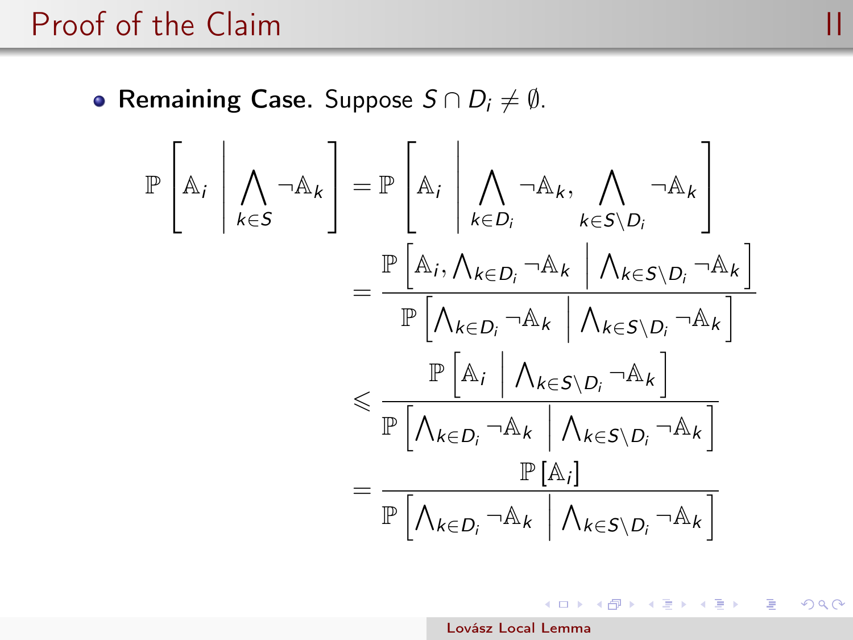### Proof of the Claim and III and III and III and III and III and III and III and III and III and III and III and III

• Remaining Case. Suppose  $S \cap D_i \neq \emptyset$ .

$$
\mathbb{P}\left[\mathbb{A}_{i}\middle|\bigwedge_{k\in S}\neg\mathbb{A}_{k}\right] = \mathbb{P}\left[\mathbb{A}_{i}\middle|\bigwedge_{k\in D_{i}}\neg\mathbb{A}_{k},\bigwedge_{k\in S\setminus D_{i}}\neg\mathbb{A}_{k}\right] \\
= \frac{\mathbb{P}\left[\mathbb{A}_{i},\bigwedge_{k\in D_{i}}\neg\mathbb{A}_{k}\middle|\bigwedge_{k\in S\setminus D_{i}}\neg\mathbb{A}_{k}\right]}{\mathbb{P}\left[\bigwedge_{k\in D_{i}}\neg\mathbb{A}_{k}\middle|\bigwedge_{k\in S\setminus D_{i}}\neg\mathbb{A}_{k}\right]} \\
\leq \frac{\mathbb{P}\left[\mathbb{A}_{i}\middle|\bigwedge_{k\in D_{i}}\neg\mathbb{A}_{k}\middle|\bigwedge_{k\in S\setminus D_{i}}\neg\mathbb{A}_{k}\right]}{\mathbb{P}\left[\bigwedge_{k\in D_{i}}\neg\mathbb{A}_{k}\middle|\bigwedge_{k\in S\setminus D_{i}}\neg\mathbb{A}_{k}\right]} \\
= \frac{\mathbb{P}\left[\mathbb{A}_{i}\middle|\bigwedge_{k\in D_{i}}\neg\mathbb{A}_{k}\middle|\bigwedge_{k\in S\setminus D_{i}}\neg\mathbb{A}_{k}\right]}{\mathbb{P}\left[\bigwedge_{k\in D_{i}}\neg\mathbb{A}_{k}\middle|\bigwedge_{k\in S\setminus D_{i}}\neg\mathbb{A}_{k}\right]}
$$

[Lovász Local Lemma](#page-0-0)

メロト メ都 トメ 重 トメ 差 トッ

E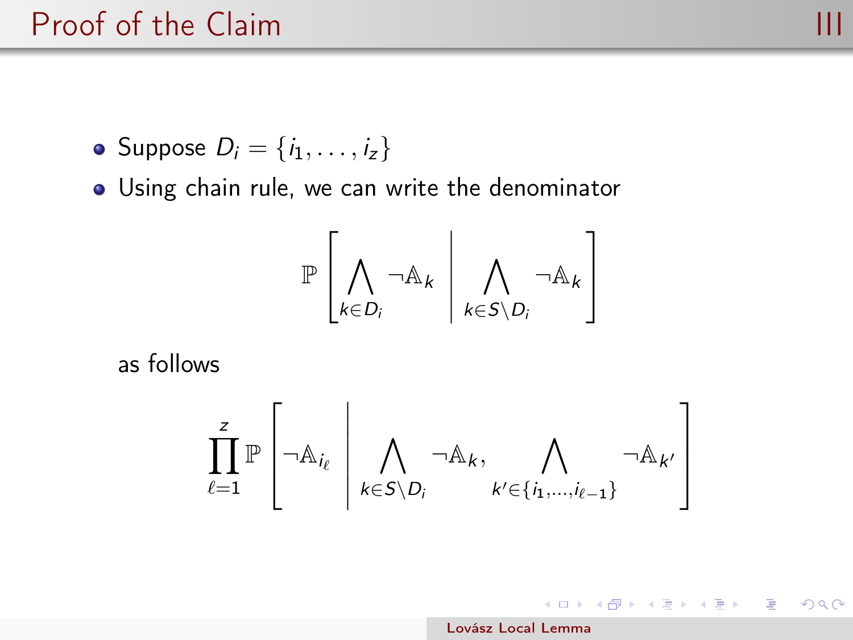### <span id="page-10-0"></span>Proof of the Claim **III**

 $2990$ 

- Suppose  $D_i = \{i_1, \ldots, i_z\}$
- Using chain rule, we can write the denominator

$$
\mathbb{P}\left[\bigwedge_{k\in D_i}\neg\mathbb{A}_k\;\left|\; \bigwedge_{k\in S\setminus D_i}\neg\mathbb{A}_k\right.\right]
$$

as follows

$$
\prod_{\ell=1}^z \mathbb{P}\left[\neg \mathbb{A}_{i_\ell} \; \left| \; \bigwedge_{k \in S \setminus D_i} \neg \mathbb{A}_k, \bigwedge_{k' \in \{i_1, \dots, i_{\ell-1}\}} \neg \mathbb{A}_{k'} \right. \right]
$$

イロト イ団 トメ 差 トメ 差 トー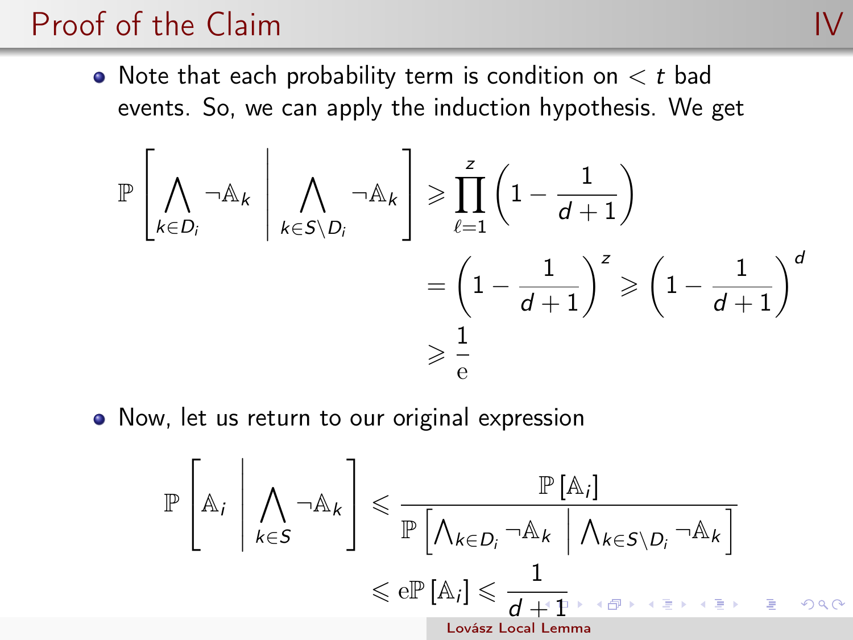## Proof of the Claim

• Note that each probability term is condition on  $lt$  t bad events. So, we can apply the induction hypothesis. We get

$$
\mathbb{P}\left[\bigwedge_{k\in D_i}\neg\mathbb{A}_k \middle| \bigwedge_{k\in S\setminus D_i}\neg\mathbb{A}_k\right] \geqslant \prod_{\ell=1}^z\left(1-\frac{1}{d+1}\right) \\ = \left(1-\frac{1}{d+1}\right)^z \geqslant \left(1-\frac{1}{d+1}\right)^d \\ \geqslant \frac{1}{e}
$$

• Now, let us return to our original expression

$$
\mathbb{P}\left[\mathbb{A}_{i}\middle|\bigwedge_{k\in S}\neg\mathbb{A}_{k}\right] \leq \frac{\mathbb{P}\left[\mathbb{A}_{i}\right]}{\mathbb{P}\left[\bigwedge_{k\in D_{i}}\neg\mathbb{A}_{k}\middle|\bigwedge_{k\in S\setminus D_{i}}\neg\mathbb{A}_{k}\right]}
$$

$$
\leq \mathbb{P}\left[\mathbb{A}_{i}\right] \leq \frac{1}{d+1} \longrightarrow \mathbb{P}\left[\mathbb{P}\left[\mathbb{A}_{i}\right] \leq \frac{1}{d+1} \longrightarrow \mathbb{P}\left[\mathbb{P}\left[\mathbb{P}\left[\mathbb{A}_{i}\right]\right] \leq \frac{1}{d+1} \longrightarrow \mathbb{P}\left[\mathbb{P}\left[\mathbb{P}\left[\mathbb{A}_{i}\right]\right]\right]
$$